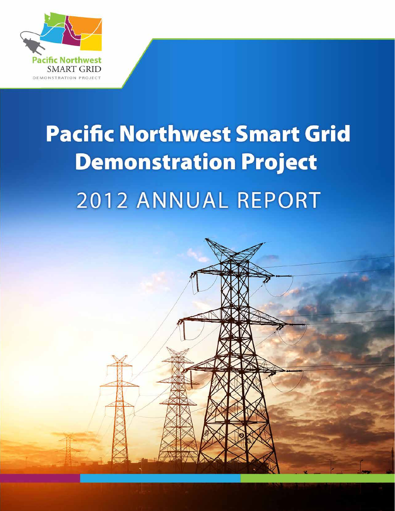

# **Pacific Northwest Smart Grid Demonstration Project** 2012 ANNUAL REPORT

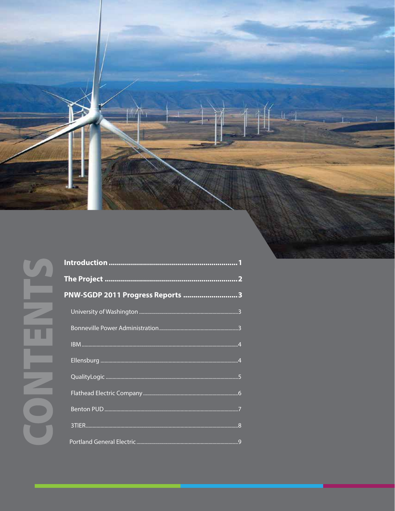

<u>In</u>

| NW-SGDP 2011 Progress Reports 3 |  |
|---------------------------------|--|
|                                 |  |
|                                 |  |
|                                 |  |
|                                 |  |
|                                 |  |
|                                 |  |
|                                 |  |
|                                 |  |
|                                 |  |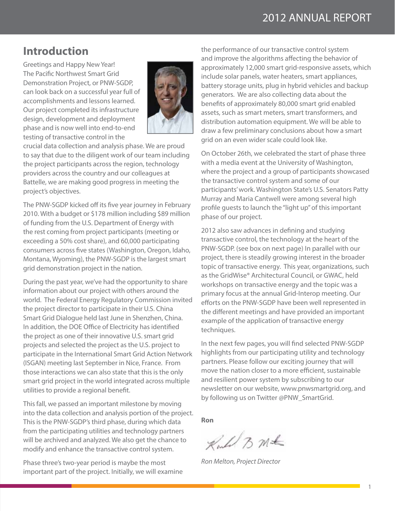## **Introduction**

Greetings and Happy New Year! The Pacific Northwest Smart Grid Demonstration Project, or PNW-SGDP, can look back on a successful year full of accomplishments and lessons learned. Our project completed its infrastructure design, development and deployment phase and is now well into end-to-end testing of transactive control in the



crucial data collection and analysis phase. We are proud to say that due to the diligent work of our team including the project participants across the region, technology providers across the country and our colleagues at Battelle, we are making good progress in meeting the project's objectives.

The PNW-SGDP kicked off its five year journey in February 2010. With a budget or \$178 million including \$89 million of funding from the U.S. Department of Energy with the rest coming from project participants (meeting or exceeding a 50% cost share), and 60,000 participating consumers across five states (Washington, Oregon, Idaho, Montana, Wyoming), the PNW-SGDP is the largest smart grid demonstration project in the nation.

During the past year, we've had the opportunity to share information about our project with others around the world. The Federal Energy Regulatory Commission invited the project director to participate in their U.S. China Smart Grid Dialogue held last June in Shenzhen, China. In addition, the DOE Office of Electricity has identified the project as one of their innovative U.S. smart grid projects and selected the project as the U.S. project to participate in the International Smart Grid Action Network (ISGAN) meeting last September in Nice, France. From those interactions we can also state that this is the only smart grid project in the world integrated across multiple utilities to provide a regional benefit.

This fall, we passed an important milestone by moving into the data collection and analysis portion of the project. This is the PNW-SGDP's third phase, during which data from the participating utilities and technology partners will be archived and analyzed. We also get the chance to modify and enhance the transactive control system.

Phase three's two-year period is maybe the most important part of the project. Initially, we will examine the performance of our transactive control system and improve the algorithms affecting the behavior of approximately 12,000 smart grid-responsive assets, which include solar panels, water heaters, smart appliances, battery storage units, plug in hybrid vehicles and backup generators. We are also collecting data about the benefits of approximately 80,000 smart grid enabled assets, such as smart meters, smart transformers, and distribution automation equipment. We will be able to draw a few preliminary conclusions about how a smart grid on an even wider scale could look like.

On October 26th, we celebrated the start of phase three with a media event at the University of Washington, where the project and a group of participants showcased the transactive control system and some of our participants' work. Washington State's U.S. Senators Patty Murray and Maria Cantwell were among several high profile guests to launch the "light up" of this important phase of our project.

2012 also saw advances in defining and studying transactive control, the technology at the heart of the PNW-SGDP. (see box on next page) In parallel with our project, there is steadily growing interest in the broader topic of transactive energy. This year, organizations, such as the GridWise® Architectural Council, or GWAC, held workshops on transactive energy and the topic was a primary focus at the annual Grid-Interop meeting. Our efforts on the PNW-SGDP have been well represented in the different meetings and have provided an important example of the application of transactive energy techniques.

In the next few pages, you will find selected PNW-SGDP highlights from our participating utility and technology partners. Please follow our exciting journey that will move the nation closer to a more efficient, sustainable and resilient power system by subscribing to our newsletter on our website, www.pnwsmartgrid.org, and by following us on Twitter @PNW\_SmartGrid.

**Ron**

Rull BML

*Ron Melton, Project Director*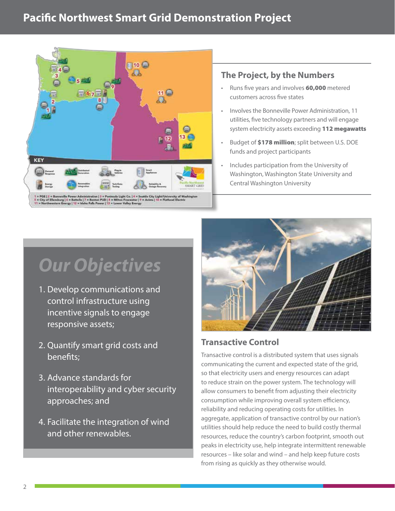

#### **The Project, by the Numbers**

- Runs five years and involves 60,000 metered customers across five states
- Involves the Bonneville Power Administration, 11 utilities, five technology partners and will engage system electricity assets exceeding 112 megawatts
- Budget of \$178 million; split between U.S. DOE funds and project participants
- Includes participation from the University of Washington, Washington State University and Central Washington University

## *Our Objectives*

- 1. Develop communications and control infrastructure using incentive signals to engage responsive assets;
- 2. Quantify smart grid costs and benefits;
- 3. Advance standards for interoperability and cyber security approaches; and
- 4. Facilitate the integration of wind and other renewables.



#### **Transactive Control**

Transactive control is a distributed system that uses signals communicating the current and expected state of the grid, so that electricity users and energy resources can adapt to reduce strain on the power system. The technology will allow consumers to benefit from adjusting their electricity consumption while improving overall system efficiency, reliability and reducing operating costs for utilities. In aggregate, application of transactive control by our nation's utilities should help reduce the need to build costly thermal resources, reduce the country's carbon footprint, smooth out peaks in electricity use, help integrate intermittent renewable resources – like solar and wind – and help keep future costs from rising as quickly as they otherwise would.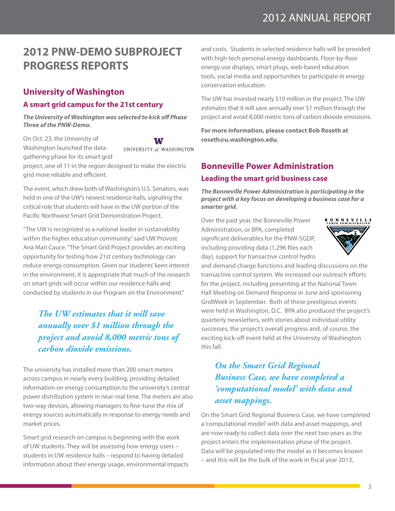## **2012 PNW-DEMO SUBPROJECT PROGRESS REPORTS**

#### **University of Washington**

#### **A smart grid campus for the 21st century**

*The University of Washington was selected to kick off Phase Three of the PNW-Demo.* 

On Oct. 23, the University of w Washington launched the data-UNIVERSITY of WASHINGTON gathering phase for its smart grid

project, one of 11 in the region designed to make the electric grid more reliable and efficient.

The event, which drew both of Washington's U.S. Senators, was held in one of the UW's newest residence halls, signaling the critical role that students will have in the UW portion of the Pacific Northwest Smart Grid Demonstration Project.

"The UW is recognized as a national leader in sustainability within the higher education community," said UW Provost Ana Mari Cauce. "The Smart Grid Project provides an exciting opportunity for testing how 21st century technology can reduce energy consumption. Given our students' keen interest in the environment, it is appropriate that much of the research on smart grids will occur within our residence halls and conducted by students in our Program on the Environment."

#### *The UW estimates that it will save annually over \$1 million through the project and avoid 8,000 metric tons of carbon dioxide emissions.*

The university has installed more than 200 smart meters across campus in nearly every building, providing detailed information on energy consumption to the university's central power distribution system in near-real time. The meters are also two-way devices, allowing managers to fine-tune the mix of energy sources automatically in response to energy needs and market prices.

Smart grid research on campus is beginning with the work of UW students. They will be assessing how energy users – students in UW residence halls – respond to having detailed information about their energy usage, environmental impacts and costs. Students in selected residence halls will be provided with high-tech personal energy dashboards. Floor-by-floor energy use displays, smart plugs, web-based education tools, social media and opportunities to participate in energy conservation education.

The UW has invested nearly \$10 million in the project. The UW estimates that it will save annually over \$1 million through the project and avoid 8,000 metric tons of carbon dioxide emissions.

**For more information, please contact Bob Roseth at roseth@u.washington.edu.**

#### **Bonneville Power Administration Leading the smart grid business case**

*The Bonneville Power Administration is participating in the project with a key focus on developing a business case for a smarter grid.*

Over the past year, the Bonneville Power Administration, or BPA, completed significant deliverables for the PNW-SGDP, including providing data (1,296 files each day), support for transactive control hydro



and demand charge functions and leading discussions on the transactive control system. We increased our outreach efforts for the project, including presenting at the National Town Hall Meeting on Demand Response in June and sponsoring GridWeek in September. Both of these prestigious events were held in Washington, D.C. BPA also produced the project's quarterly newsletters, with stories about individual utility successes, the project's overall progress and, of course, the exciting kick-off event held at the University of Washington this fall.

#### *On the Smart Grid Regional Business Case, we have completed a 'computational model' with data and asset mappings.*

On the Smart Grid Regional Business Case, we have completed a 'computational model' with data and asset mappings, and are now ready to collect data over the next two years as the project enters the implementation phase of the project. Data will be populated into the model as it becomes known – and this will be the bulk of the work in fiscal year 2013,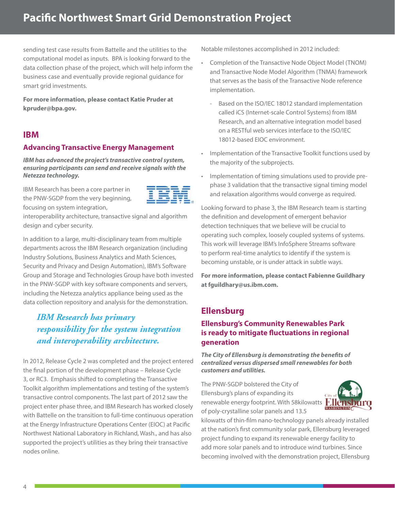sending test case results from Battelle and the utilities to the computational model as inputs. BPA is looking forward to the data collection phase of the project, which will help inform the business case and eventually provide regional guidance for smart grid investments.

**For more information, please contact Katie Pruder at kpruder@bpa.gov.**

#### **IBM**

#### **Advancing Transactive Energy Management**

*IBM has advanced the project's transactive control system, ensuring participants can send and receive signals with the Netezza technology.* 

IBM Research has been a core partner in the PNW-SGDP from the very beginning, focusing on system integration,



interoperability architecture, transactive signal and algorithm design and cyber security.

In addition to a large, multi-disciplinary team from multiple departments across the IBM Research organization (including Industry Solutions, Business Analytics and Math Sciences, Security and Privacy and Design Automation), IBM's Software Group and Storage and Technologies Group have both invested in the PNW-SGDP with key software components and servers, including the Netezza analytics appliance being used as the data collection repository and analysis for the demonstration.

#### *IBM Research has primary responsibility for the system integration and interoperability architecture.*

In 2012, Release Cycle 2 was completed and the project entered the final portion of the development phase – Release Cycle 3, or RC3. Emphasis shifted to completing the Transactive Toolkit algorithm implementations and testing of the system's transactive control components. The last part of 2012 saw the project enter phase three, and IBM Research has worked closely with Battelle on the transition to full-time continuous operation at the Energy Infrastructure Operations Center (EIOC) at Pacific Northwest National Laboratory in Richland, Wash., and has also supported the project's utilities as they bring their transactive nodes online.

Notable milestones accomplished in 2012 included:

- Completion of the Transactive Node Object Model (TNOM) and Transactive Node Model Algorithm (TNMA) framework that serves as the basis of the Transactive Node reference implementation.
	- Based on the ISO/IEC 18012 standard implementation called iCS (Internet-scale Control Systems) from IBM Research, and an alternative integration model based on a RESTful web services interface to the ISO/IEC 18012-based EIOC environment.
- Implementation of the Transactive Toolkit functions used by the majority of the subprojects.
- Implementation of timing simulations used to provide prephase 3 validation that the transactive signal timing model and relaxation algorithms would converge as required.

Looking forward to phase 3, the IBM Research team is starting the definition and development of emergent behavior detection techniques that we believe will be crucial to operating such complex, loosely coupled systems of systems. This work will leverage IBM's InfoSphere Streams software to perform real-time analytics to identify if the system is becoming unstable, or is under attack in subtle ways.

**For more information, please contact Fabienne Guildhary at fguildhary@us.ibm.com.**

#### **Ellensburg**

#### **Ellensburg's Community Renewables Park is ready to mitigate fluctuations in regional generation**

*The City of Ellensburg is demonstrating the benefits of centralized versus dispersed small renewables for both customers and utilities.* 

The PNW-SGDP bolstered the City of Ellensburg's plans of expanding its renewable energy footprint. With 58kilowatts of poly-crystalline solar panels and 13.5



kilowatts of thin-film nano-technology panels already installed at the nation's first community solar park, Ellensburg leveraged project funding to expand its renewable energy facility to add more solar panels and to introduce wind turbines. Since becoming involved with the demonstration project, Ellensburg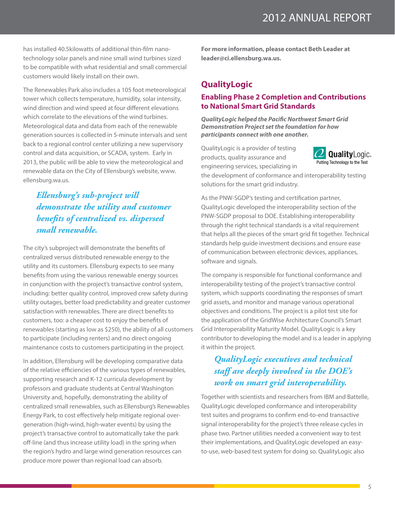has installed 40.5kilowatts of additional thin-film nanotechnology solar panels and nine small wind turbines sized to be compatible with what residential and small commercial customers would likely install on their own.

The Renewables Park also includes a 105 foot meteorological tower which collects temperature, humidity, solar intensity, wind direction and wind speed at four different elevations which correlate to the elevations of the wind turbines. Meteorological data and data from each of the renewable generation sources is collected in 5-minute intervals and sent back to a regional control center utilizing a new supervisory control and data acquisition, or SCADA, system. Early in 2013, the public will be able to view the meteorological and renewable data on the City of Ellensburg's website, www. ellensburg.wa.us.

#### *Ellensburg's sub-project will demonstrate the utility and customer benefits of centralized vs. dispersed small renewable.*

The city's subproject will demonstrate the benefits of centralized versus distributed renewable energy to the utility and its customers. Ellensburg expects to see many benefits from using the various renewable energy sources in conjunction with the project's transactive control system, including: better quality control, improved crew safety during utility outages, better load predictability and greater customer satisfaction with renewables. There are direct benefits to customers, too: a cheaper cost to enjoy the benefits of renewables (starting as low as \$250), the ability of all customers to participate (including renters) and no direct ongoing maintenance costs to customers participating in the project.

In addition, Ellensburg will be developing comparative data of the relative efficiencies of the various types of renewables, supporting research and K-12 curricula development by professors and graduate students at Central Washington University and, hopefully, demonstrating the ability of centralized small renewables, such as Ellensburg's Renewables Energy Park, to cost effectively help mitigate regional overgeneration (high-wind, high-water events) by using the project's transactive control to automatically take the park off-line (and thus increase utility load) in the spring when the region's hydro and large wind generation resources can produce more power than regional load can absorb.

**For more information, please contact Beth Leader at leader@ci.ellensburg.wa.us.**

#### **QualityLogic**

#### **Enabling Phase 2 Completion and Contributions to National Smart Grid Standards**

*QualityLogic helped the Pacific Northwest Smart Grid Demonstration Project set the foundation for how participants connect with one another.* 

QualityLogic is a provider of testing products, quality assurance and engineering services, specializing in



the development of conformance and interoperability testing solutions for the smart grid industry.

As the PNW-SGDP's testing and certification partner, QualityLogic developed the interoperability section of the PNW-SGDP proposal to DOE. Establishing interoperability through the right technical standards is a vital requirement that helps all the pieces of the smart grid fit together. Technical standards help guide investment decisions and ensure ease of communication between electronic devices, appliances, software and signals.

The company is responsible for functional conformance and interoperability testing of the project's transactive control system, which supports coordinating the responses of smart grid assets, and monitor and manage various operational objectives and conditions. The project is a pilot test site for the application of the GridWise Architecture Council's Smart Grid Interoperability Maturity Model. QualityLogic is a key contributor to developing the model and is a leader in applying it within the project.

#### *QualityLogic executives and technical staff are deeply involved in the DOE's work on smart grid interoperability.*

Together with scientists and researchers from IBM and Battelle, QualityLogic developed conformance and interoperability test suites and programs to confirm end-to-end transactive signal interoperability for the project's three release cycles in phase two. Partner utilities needed a convenient way to test their implementations, and QualityLogic developed an easyto-use, web-based test system for doing so. QualityLogic also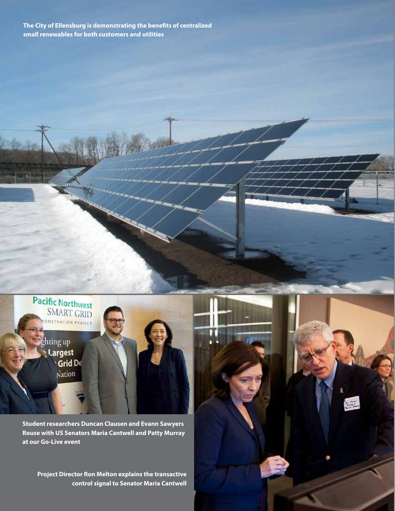**Pacific Northwest Smart Grid Demonstration Project The City of Ellensburg is demonstrating the benefits of centralized small renewables for both customers and utilities**



**Student researchers Duncan Clausen and Evann Sawyers Rouse with US Senators Maria Cantwell and Patty Murray at our Go-Live event**

**Project Director Ron Melton explains the transactive control signal to Senator Maria Cantwell**

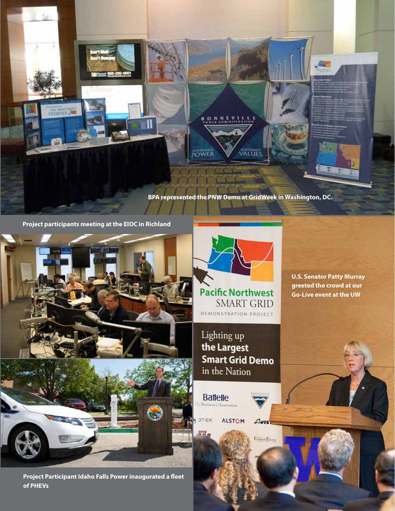

**Project participants meeting at the EIOC in Richland**



**Project Participant Idaho Falls Power inaugurated a fleet of PHEVs**



**U.S. Senator Patty Murray greeted the crowd at our Go-Live event at the UW**

Lighting up the Largest **Smart Grid Demo** in the Nation



**3TIER** 

in n

**ALSTOM** 

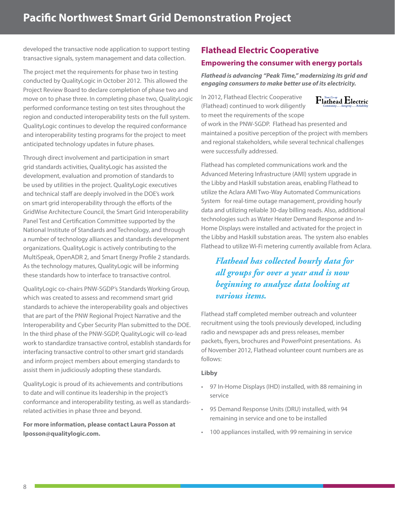developed the transactive node application to support testing transactive signals, system management and data collection.

The project met the requirements for phase two in testing conducted by QualityLogic in October 2012. This allowed the Project Review Board to declare completion of phase two and move on to phase three. In completing phase two, QualityLogic performed conformance testing on test sites throughout the region and conducted interoperability tests on the full system. QualityLogic continues to develop the required conformance and interoperability testing programs for the project to meet anticipated technology updates in future phases.

Through direct involvement and participation in smart grid standards activities, QualityLogic has assisted the development, evaluation and promotion of standards to be used by utilities in the project. QualityLogic executives and technical staff are deeply involved in the DOE's work on smart grid interoperability through the efforts of the GridWise Architecture Council, the Smart Grid Interoperability Panel Test and Certification Committee supported by the National Institute of Standards and Technology, and through a number of technology alliances and standards development organizations. QualityLogic is actively contributing to the MultiSpeak, OpenADR 2, and Smart Energy Profile 2 standards. As the technology matures, QualityLogic will be informing these standards how to interface to transactive control.

QualityLogic co-chairs PNW-SGDP's Standards Working Group, which was created to assess and recommend smart grid standards to achieve the interoperability goals and objectives that are part of the PNW Regional Project Narrative and the Interoperability and Cyber Security Plan submitted to the DOE. In the third phase of the PNW-SGDP, QualityLogic will co-lead work to standardize transactive control, establish standards for interfacing transactive control to other smart grid standards and inform project members about emerging standards to assist them in judiciously adopting these standards.

QualityLogic is proud of its achievements and contributions to date and will continue its leadership in the project's conformance and interoperability testing, as well as standardsrelated activities in phase three and beyond.

**For more information, please contact Laura Posson at lposson@qualitylogic.com.** 

## **Flathead Electric Cooperative**

#### **Empowering the consumer with energy portals**

*Flathead is advancing "Peak Time," modernizing its grid and engaging consumers to make better use of its electricity.*

In 2012, Flathead Electric Cooperative (Flathead) continued to work diligently to meet the requirements of the scope



of work in the PNW-SGDP. Flathead has presented and maintained a positive perception of the project with members and regional stakeholders, while several technical challenges were successfully addressed.

Flathead has completed communications work and the Advanced Metering Infrastructure (AMI) system upgrade in the Libby and Haskill substation areas, enabling Flathead to utilize the Aclara AMI Two-Way Automated Communications System for real-time outage management, providing hourly data and utilizing reliable 30-day billing reads. Also, additional technologies such as Water Heater Demand Response and In-Home Displays were installed and activated for the project in the Libby and Haskill substation areas. The system also enables Flathead to utilize Wi-Fi metering currently available from Aclara.

*Flathead has collected hourly data for all groups for over a year and is now beginning to analyze data looking at various items.*

Flathead staff completed member outreach and volunteer recruitment using the tools previously developed, including radio and newspaper ads and press releases, member packets, flyers, brochures and PowerPoint presentations. As of November 2012, Flathead volunteer count numbers are as follows:

#### **Libby**

- • 97 In-Home Displays (IHD) installed, with 88 remaining in service
- • 95 Demand Response Units (DRU) installed, with 94 remaining in service and one to be installed
- • 100 appliances installed, with 99 remaining in service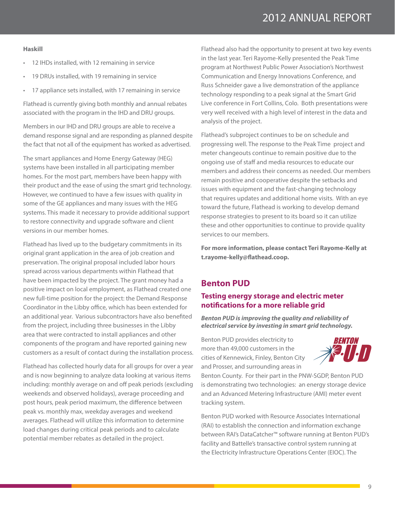#### **Haskill**

- 12 IHDs installed, with 12 remaining in service
- 19 DRUs installed, with 19 remaining in service
- 17 appliance sets installed, with 17 remaining in service

Flathead is currently giving both monthly and annual rebates associated with the program in the IHD and DRU groups.

Members in our IHD and DRU groups are able to receive a demand response signal and are responding as planned despite the fact that not all of the equipment has worked as advertised.

The smart appliances and Home Energy Gateway (HEG) systems have been installed in all participating member homes. For the most part, members have been happy with their product and the ease of using the smart grid technology. However, we continued to have a few issues with quality in some of the GE appliances and many issues with the HEG systems. This made it necessary to provide additional support to restore connectivity and upgrade software and client versions in our member homes.

Flathead has lived up to the budgetary commitments in its original grant application in the area of job creation and preservation. The original proposal included labor hours spread across various departments within Flathead that have been impacted by the project. The grant money had a positive impact on local employment, as Flathead created one new full-time position for the project: the Demand Response Coordinator in the Libby office, which has been extended for an additional year. Various subcontractors have also benefited from the project, including three businesses in the Libby area that were contracted to install appliances and other components of the program and have reported gaining new customers as a result of contact during the installation process.

Flathead has collected hourly data for all groups for over a year and is now beginning to analyze data looking at various items including: monthly average on and off peak periods (excluding weekends and observed holidays), average proceeding and post hours, peak period maximum, the difference between peak vs. monthly max, weekday averages and weekend averages. Flathead will utilize this information to determine load changes during critical peak periods and to calculate potential member rebates as detailed in the project.

Flathead also had the opportunity to present at two key events in the last year. Teri Rayome-Kelly presented the Peak Time program at Northwest Public Power Association's Northwest Communication and Energy Innovations Conference, and Russ Schneider gave a live demonstration of the appliance technology responding to a peak signal at the Smart Grid Live conference in Fort Collins, Colo. Both presentations were very well received with a high level of interest in the data and analysis of the project.

Flathead's subproject continues to be on schedule and progressing well. The response to the Peak Time project and meter changeouts continue to remain positive due to the ongoing use of staff and media resources to educate our members and address their concerns as needed. Our members remain positive and cooperative despite the setbacks and issues with equipment and the fast-changing technology that requires updates and additional home visits. With an eye toward the future, Flathead is working to develop demand response strategies to present to its board so it can utilize these and other opportunities to continue to provide quality services to our members.

**For more information, please contact Teri Rayome-Kelly at t.rayome-kelly@flathead.coop.**

#### **Benton PUD**

#### **Testing energy storage and electric meter notifications for a more reliable grid**

*Benton PUD is improving the quality and reliability of electrical service by investing in smart grid technology.*

Benton PUD provides electricity to more than 49,000 customers in the cities of Kennewick, Finley, Benton City and Prosser, and surrounding areas in



Benton County. For their part in the PNW-SGDP, Benton PUD is demonstrating two technologies: an energy storage device and an Advanced Metering Infrastructure (AMI) meter event tracking system.

Benton PUD worked with Resource Associates International (RAI) to establish the connection and information exchange between RAI's DataCatcher™ software running at Benton PUD's facility and Battelle's transactive control system running at the Electricity Infrastructure Operations Center (EIOC). The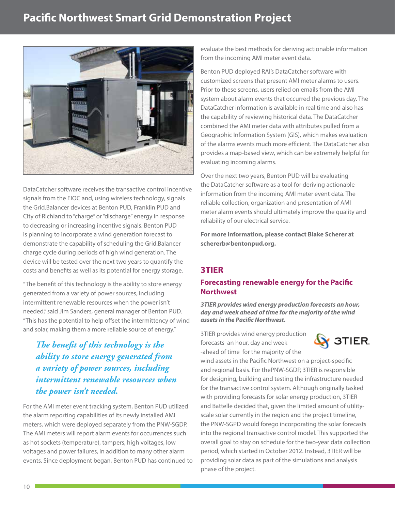

DataCatcher software receives the transactive control incentive signals from the EIOC and, using wireless technology, signals the Grid.Balancer devices at Benton PUD, Franklin PUD and City of Richland to "charge" or "discharge" energy in response to decreasing or increasing incentive signals. Benton PUD is planning to incorporate a wind generation forecast to demonstrate the capability of scheduling the Grid.Balancer charge cycle during periods of high wind generation. The device will be tested over the next two years to quantify the costs and benefits as well as its potential for energy storage.

"The benefit of this technology is the ability to store energy generated from a variety of power sources, including intermittent renewable resources when the power isn't needed," said Jim Sanders, general manager of Benton PUD. "This has the potential to help offset the intermittency of wind and solar, making them a more reliable source of energy."

*The benefit of this technology is the ability to store energy generated from a variety of power sources, including intermittent renewable resources when the power isn't needed.*

For the AMI meter event tracking system, Benton PUD utilized the alarm reporting capabilities of its newly installed AMI meters, which were deployed separately from the PNW-SGDP. The AMI meters will report alarm events for occurrences such as hot sockets (temperature), tampers, high voltages, low voltages and power failures, in addition to many other alarm events. Since deployment began, Benton PUD has continued to

evaluate the best methods for deriving actionable information from the incoming AMI meter event data.

Benton PUD deployed RAI's DataCatcher software with customized screens that present AMI meter alarms to users. Prior to these screens, users relied on emails from the AMI system about alarm events that occurred the previous day. The DataCatcher information is available in real time and also has the capability of reviewing historical data. The DataCatcher combined the AMI meter data with attributes pulled from a Geographic Information System (GIS), which makes evaluation of the alarms events much more efficient. The DataCatcher also provides a map-based view, which can be extremely helpful for evaluating incoming alarms.

Over the next two years, Benton PUD will be evaluating the DataCatcher software as a tool for deriving actionable information from the incoming AMI meter event data. The reliable collection, organization and presentation of AMI meter alarm events should ultimately improve the quality and reliability of our electrical service.

**For more information, please contact Blake Scherer at schererb@bentonpud.org.** 

#### **3TIER**

#### **Forecasting renewable energy for the Pacific Northwest**

*3TIER provides wind energy production forecasts an hour, day and week ahead of time for the majority of the wind assets in the Pacific Northwest.* 

3TIER provides wind energy production forecasts an hour, day and week -ahead of time for the majority of the



wind assets in the Pacific Northwest on a project-specific and regional basis. For thePNW-SGDP, 3TIER is responsible for designing, building and testing the infrastructure needed for the transactive control system. Although originally tasked with providing forecasts for solar energy production, 3TIER and Battelle decided that, given the limited amount of utilityscale solar currently in the region and the project timeline, the PNW-SGPD would forego incorporating the solar forecasts into the regional transactive control model. This supported the overall goal to stay on schedule for the two-year data collection period, which started in October 2012. Instead, 3TIER will be providing solar data as part of the simulations and analysis phase of the project.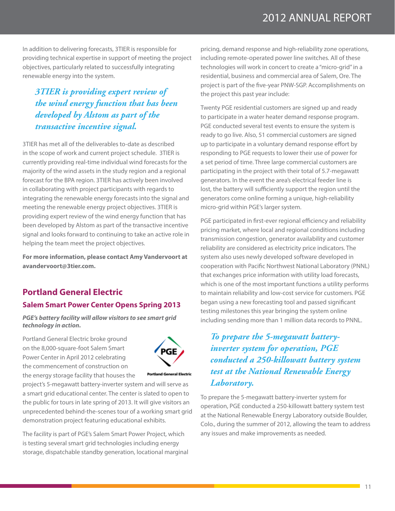In addition to delivering forecasts, 3TIER is responsible for providing technical expertise in support of meeting the project objectives, particularly related to successfully integrating renewable energy into the system.

#### *3TIER is providing expert review of the wind energy function that has been developed by Alstom as part of the transactive incentive signal.*

3TIER has met all of the deliverables to-date as described in the scope of work and current project schedule. 3TIER is currently providing real-time individual wind forecasts for the majority of the wind assets in the study region and a regional forecast for the BPA region. 3TIER has actively been involved in collaborating with project participants with regards to integrating the renewable energy forecasts into the signal and meeting the renewable energy project objectives. 3TIER is providing expert review of the wind energy function that has been developed by Alstom as part of the transactive incentive signal and looks forward to continuing to take an active role in helping the team meet the project objectives.

**For more information, please contact Amy Vandervoort at avandervoort@3tier.com.** 

#### **Portland General Electric**

#### **Salem Smart Power Center Opens Spring 2013**

*PGE's battery facility will allow visitors to see smart grid technology in action.* 

Portland General Electric broke ground on the 8,000-square-foot Salem Smart Power Center in April 2012 celebrating the commencement of construction on the energy storage facility that houses the



project's 5-megawatt battery-inverter system and will serve as a smart grid educational center. The center is slated to open to the public for tours in late spring of 2013. It will give visitors an unprecedented behind-the-scenes tour of a working smart grid demonstration project featuring educational exhibits.

The facility is part of PGE's Salem Smart Power Project, which is testing several smart grid technologies including energy storage, dispatchable standby generation, locational marginal

pricing, demand response and high-reliability zone operations, including remote-operated power line switches. All of these technologies will work in concert to create a "micro-grid" in a residential, business and commercial area of Salem, Ore. The project is part of the five-year PNW-SGP. Accomplishments on the project this past year include:

Twenty PGE residential customers are signed up and ready to participate in a water heater demand response program. PGE conducted several test events to ensure the system is ready to go live. Also, 51 commercial customers are signed up to participate in a voluntary demand response effort by responding to PGE requests to lower their use of power for a set period of time. Three large commercial customers are participating in the project with their total of 5.7-megawatt generators. In the event the area's electrical feeder line is lost, the battery will sufficiently support the region until the generators come online forming a unique, high-reliability micro-grid within PGE's larger system.

PGE participated in first-ever regional efficiency and reliability pricing market, where local and regional conditions including transmission congestion, generator availability and customer reliability are considered as electricity price indicators. The system also uses newly developed software developed in cooperation with Pacific Northwest National Laboratory (PNNL) that exchanges price information with utility load forecasts, which is one of the most important functions a utility performs to maintain reliability and low-cost service for customers. PGE began using a new forecasting tool and passed significant testing milestones this year bringing the system online including sending more than 1 million data records to PNNL.

*To prepare the 5-megawatt batteryinverter system for operation, PGE conducted a 250-killowatt battery system test at the National Renewable Energy Laboratory.*

To prepare the 5-megawatt battery-inverter system for operation, PGE conducted a 250-killowatt battery system test at the National Renewable Energy Laboratory outside Boulder, Colo., during the summer of 2012, allowing the team to address any issues and make improvements as needed.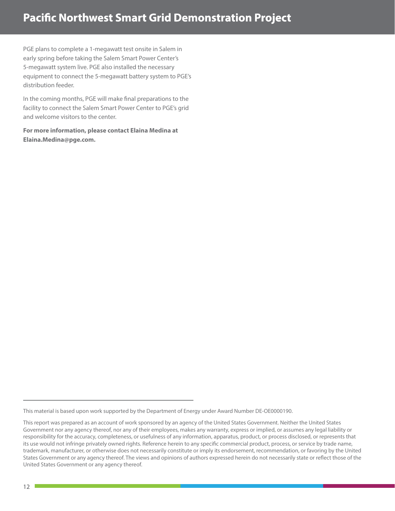PGE plans to complete a 1-megawatt test onsite in Salem in early spring before taking the Salem Smart Power Center's 5-megawatt system live. PGE also installed the necessary equipment to connect the 5-megawatt battery system to PGE's distribution feeder.

In the coming months, PGE will make final preparations to the facility to connect the Salem Smart Power Center to PGE's grid and welcome visitors to the center.

**For more information, please contact Elaina Medina at Elaina.Medina@pge.com.**

This material is based upon work supported by the Department of Energy under Award Number DE-OE0000190.

This report was prepared as an account of work sponsored by an agency of the United States Government. Neither the United States Government nor any agency thereof, nor any of their employees, makes any warranty, express or implied, or assumes any legal liability or responsibility for the accuracy, completeness, or usefulness of any information, apparatus, product, or process disclosed, or represents that its use would not infringe privately owned rights. Reference herein to any specific commercial product, process, or service by trade name, trademark, manufacturer, or otherwise does not necessarily constitute or imply its endorsement, recommendation, or favoring by the United States Government or any agency thereof. The views and opinions of authors expressed herein do not necessarily state or reflect those of the United States Government or any agency thereof.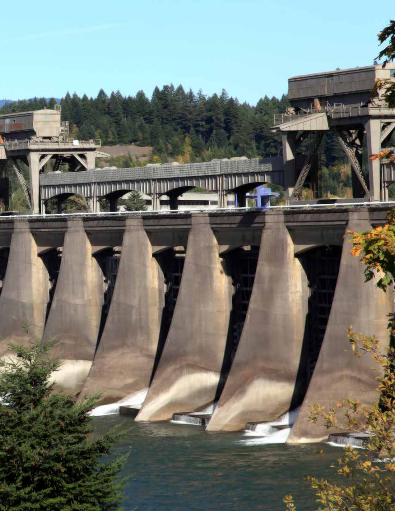